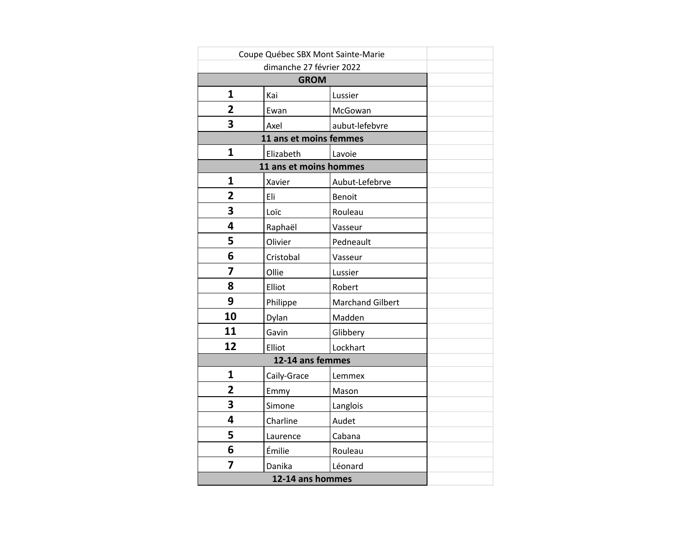| Coupe Québec SBX Mont Sainte-Marie |             |                         |  |
|------------------------------------|-------------|-------------------------|--|
|                                    |             |                         |  |
|                                    |             |                         |  |
| 1                                  | Kai         | Lussier                 |  |
| $\overline{2}$                     | Ewan        | McGowan                 |  |
| 3                                  | Axel        | aubut-lefebvre          |  |
|                                    |             |                         |  |
| $\mathbf{1}$                       | Elizabeth   | Lavoie                  |  |
|                                    |             |                         |  |
| $\mathbf{1}$                       | Xavier      | Aubut-Lefebrve          |  |
| 2                                  | Eli         | Benoit                  |  |
| 3                                  | Loïc        | Rouleau                 |  |
| 4                                  | Raphaël     | Vasseur                 |  |
| 5                                  | Olivier     | Pedneault               |  |
| 6                                  | Cristobal   | Vasseur                 |  |
| 7                                  | Ollie       | Lussier                 |  |
| 8                                  | Elliot      | Robert                  |  |
| 9                                  | Philippe    | <b>Marchand Gilbert</b> |  |
| 10                                 | Dylan       | Madden                  |  |
| 11                                 | Gavin       | Glibbery                |  |
| 12                                 | Elliot      | Lockhart                |  |
|                                    |             |                         |  |
| $\mathbf{1}$                       | Caily-Grace | Lemmex                  |  |
| 2                                  | Emmy        | Mason                   |  |
| 3                                  | Simone      | Langlois                |  |
| 4                                  | Charline    | Audet                   |  |
| 5                                  | Laurence    | Cabana                  |  |
| 6                                  | Émilie      | Rouleau                 |  |
| 7                                  | Danika      | Léonard                 |  |
|                                    |             |                         |  |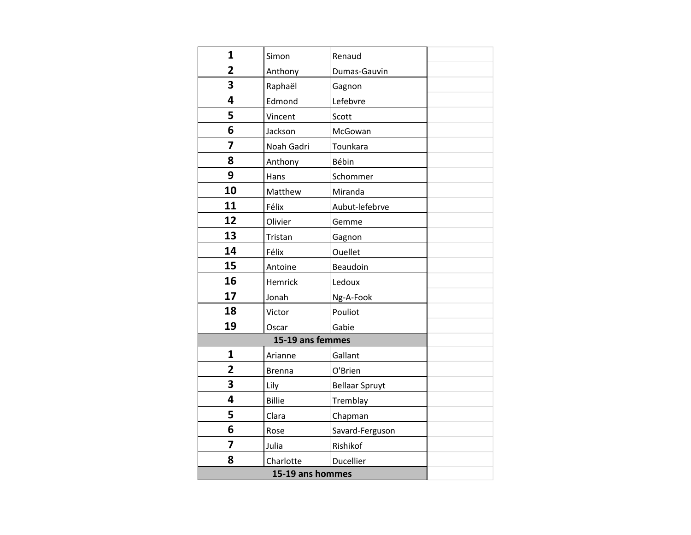| 1                       | Simon         | Renaud                |  |
|-------------------------|---------------|-----------------------|--|
| $\overline{2}$          | Anthony       | Dumas-Gauvin          |  |
| $\overline{\mathbf{3}}$ | Raphaël       | Gagnon                |  |
| 4                       | Edmond        | Lefebvre              |  |
| 5                       | Vincent       | Scott                 |  |
| 6                       | Jackson       | McGowan               |  |
| 7                       | Noah Gadri    | Tounkara              |  |
| 8                       | Anthony       | Bébin                 |  |
| 9                       | Hans          | Schommer              |  |
| 10                      | Matthew       | Miranda               |  |
| 11                      | Félix         | Aubut-lefebrve        |  |
| 12                      | Olivier       | Gemme                 |  |
| 13                      | Tristan       | Gagnon                |  |
| 14                      | Félix         | Ouellet               |  |
| 15                      | Antoine       | Beaudoin              |  |
| 16                      | Hemrick       | Ledoux                |  |
| 17                      | Jonah         | Ng-A-Fook             |  |
| 18                      | Victor        | Pouliot               |  |
| 19                      | Oscar         | Gabie                 |  |
|                         |               |                       |  |
| 1                       | Arianne       | Gallant               |  |
| $\overline{2}$          | <b>Brenna</b> | O'Brien               |  |
| 3                       | Lily          | <b>Bellaar Spruyt</b> |  |
| 4                       | <b>Billie</b> | Tremblay              |  |
| 5                       | Clara         | Chapman               |  |
| 6                       | Rose          | Savard-Ferguson       |  |
| 7                       | Julia         | Rishikof              |  |
| 8                       | Charlotte     | Ducellier             |  |
|                         |               |                       |  |